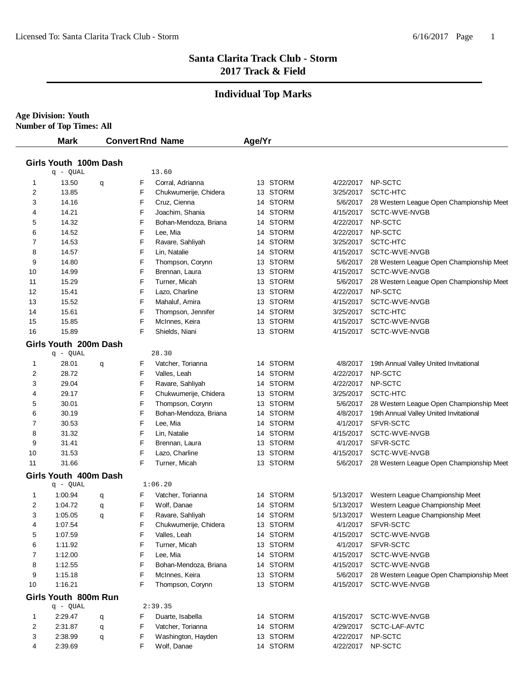# **Individual Top Marks**

**Age Division: Youth Number of Top Times: All**

|        | <b>Mark</b>           |   | <b>Convert Rnd Name</b>                   | Age/Yr   |                      |                                                     |
|--------|-----------------------|---|-------------------------------------------|----------|----------------------|-----------------------------------------------------|
|        | Girls Youth 100m Dash |   |                                           |          |                      |                                                     |
|        | q - QUAL              |   | 13.60                                     |          |                      |                                                     |
| 1      | 13.50                 | q | Corral, Adrianna<br>F                     | 13 STORM | 4/22/2017            | NP-SCTC                                             |
| 2      | 13.85                 |   | Chukwumerije, Chidera<br>F                | 13 STORM | 3/25/2017            | SCTC-HTC                                            |
| 3      | 14.16                 |   | F<br>Cruz, Cienna                         | 14 STORM | 5/6/2017             | 28 Western League Open Championship Meet            |
| 4      | 14.21                 |   | F<br>Joachim, Shania                      | 14 STORM | 4/15/2017            | SCTC-WVE-NVGB                                       |
| 5      | 14.32                 |   | F<br>Bohan-Mendoza, Briana                | 14 STORM | 4/22/2017            | NP-SCTC                                             |
| 6      | 14.52                 |   | F<br>Lee, Mia                             | 14 STORM | 4/22/2017            | NP-SCTC                                             |
| 7      | 14.53                 |   | F<br>Ravare, Sahliyah                     | 14 STORM | 3/25/2017            | SCTC-HTC                                            |
| 8      | 14.57                 |   | F<br>Lin, Natalie                         | 14 STORM | 4/15/2017            | SCTC-WVE-NVGB                                       |
| 9      | 14.80                 |   | F<br>Thompson, Corynn                     | 13 STORM | 5/6/2017             | 28 Western League Open Championship Meet            |
| 10     | 14.99                 |   | F<br>Brennan, Laura                       | 13 STORM | 4/15/2017            | SCTC-WVE-NVGB                                       |
| 11     | 15.29                 |   | F<br>Turner, Micah                        | 13 STORM | 5/6/2017             | 28 Western League Open Championship Meet            |
| 12     | 15.41                 |   | F<br>Lazo, Charline                       | 13 STORM | 4/22/2017            | NP-SCTC                                             |
| 13     | 15.52                 |   | F<br>Mahaluf, Amira                       | 13 STORM | 4/15/2017            | SCTC-WVE-NVGB                                       |
| 14     | 15.61                 |   | F<br>Thompson, Jennifer                   | 14 STORM | 3/25/2017            | SCTC-HTC                                            |
| 15     | 15.85                 |   | F<br>McInnes, Keira                       | 13 STORM | 4/15/2017            | SCTC-WVE-NVGB                                       |
| 16     | 15.89                 |   | F<br>Shields, Niani                       | 13 STORM | 4/15/2017            | SCTC-WVE-NVGB                                       |
|        | Girls Youth 200m Dash |   |                                           |          |                      |                                                     |
|        | q - QUAL              |   | 28.30                                     |          |                      |                                                     |
| 1      | 28.01                 | q | F<br>Vatcher, Torianna                    | 14 STORM | 4/8/2017             | 19th Annual Valley United Invitational              |
| 2      | 28.72                 |   | F<br>Valles, Leah                         | 14 STORM | 4/22/2017            | NP-SCTC                                             |
| 3      | 29.04                 |   | F<br>Ravare, Sahliyah                     | 14 STORM | 4/22/2017            | NP-SCTC                                             |
| 4      | 29.17                 |   | F<br>Chukwumerije, Chidera                | 13 STORM | 3/25/2017            | SCTC-HTC                                            |
|        | 30.01                 |   | F                                         | 13 STORM |                      |                                                     |
| 5      | 30.19                 |   | Thompson, Corynn<br>Bohan-Mendoza, Briana | 14 STORM | 5/6/2017<br>4/8/2017 | 28 Western League Open Championship Meet            |
| 6<br>7 | 30.53                 |   | F<br>F                                    | 14 STORM | 4/1/2017             | 19th Annual Valley United Invitational<br>SFVR-SCTC |
| 8      | 31.32                 |   | Lee, Mia<br>F<br>Lin, Natalie             | 14 STORM | 4/15/2017            | SCTC-WVE-NVGB                                       |
| 9      | 31.41                 |   | F                                         | 13 STORM | 4/1/2017             | SFVR-SCTC                                           |
|        | 31.53                 |   | Brennan, Laura<br>F                       | 13 STORM |                      | SCTC-WVE-NVGB                                       |
| 10     | 31.66                 |   | Lazo, Charline<br>F                       |          | 4/15/2017            |                                                     |
| 11     |                       |   | Turner, Micah                             | 13 STORM | 5/6/2017             | 28 Western League Open Championship Meet            |
|        | Girls Youth 400m Dash |   |                                           |          |                      |                                                     |
|        | q - QUAL              |   | 1:06.20                                   |          |                      |                                                     |
| 1      | 1:00.94               | q | F<br>Vatcher, Torianna                    | 14 STORM | 5/13/2017            | Western League Championship Meet                    |
| 2      | 1:04.72               | q | F<br>Wolf, Danae                          | 14 STORM | 5/13/2017            | Western League Championship Meet                    |
| 3      | 1:05.05               | q | F<br>Ravare, Sahliyah                     | 14 STORM | 5/13/2017            | Western League Championship Meet                    |
| 4      | 1:07.54               |   | F<br>Chukwumerije, Chidera                | 13 STORM | 4/1/2017             | SFVR-SCTC                                           |
| 5      | 1:07.59               |   | Valles, Leah<br>F                         | 14 STORM | 4/15/2017            | SCTC-WVE-NVGB                                       |
| 6      | 1:11.92               |   | F<br>Turner, Micah                        | 13 STORM | 4/1/2017             | SFVR-SCTC                                           |
| 7      | 1:12.00               |   | F<br>Lee, Mia                             | 14 STORM | 4/15/2017            | SCTC-WVE-NVGB                                       |
| 8      | 1:12.55               |   | Bohan-Mendoza, Briana<br>F                | 14 STORM | 4/15/2017            | SCTC-WVE-NVGB                                       |
| 9      | 1:15.18               |   | F<br>McInnes, Keira                       | 13 STORM | 5/6/2017             | 28 Western League Open Championship Meet            |
| 10     | 1:16.21               |   | F<br>Thompson, Corynn                     | 13 STORM | 4/15/2017            | SCTC-WVE-NVGB                                       |
|        | Girls Youth 800m Run  |   |                                           |          |                      |                                                     |
|        | q - QUAL              |   | 2:39.35                                   |          |                      |                                                     |
| 1      | 2:29.47               | q | F<br>Duarte, Isabella                     | 14 STORM | 4/15/2017            | SCTC-WVE-NVGB                                       |
| 2      | 2:31.87               | q | F<br>Vatcher, Torianna                    | 14 STORM | 4/29/2017            | SCTC-LAF-AVTC                                       |
| 3      | 2:38.99               | q | F<br>Washington, Hayden                   | 13 STORM | 4/22/2017            | NP-SCTC                                             |
| 4      | 2:39.69               |   | F<br>Wolf, Danae                          | 14 STORM | 4/22/2017            | NP-SCTC                                             |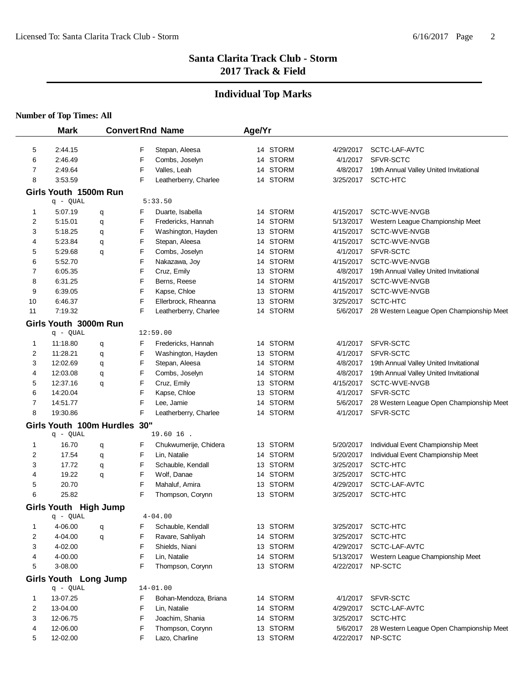# **Individual Top Marks**

| <b>Mark</b>    |                                   |        | <b>Convert Rnd Name</b> |                                          |  | Age/Yr               |                        |                                                         |  |  |  |
|----------------|-----------------------------------|--------|-------------------------|------------------------------------------|--|----------------------|------------------------|---------------------------------------------------------|--|--|--|
| 5              | 2:44.15                           |        | F                       | Stepan, Aleesa                           |  | 14 STORM             | 4/29/2017              | SCTC-LAF-AVTC                                           |  |  |  |
| 6              | 2:46.49                           |        | F                       | Combs, Joselyn                           |  | 14 STORM             | 4/1/2017               | SFVR-SCTC                                               |  |  |  |
| 7              | 2:49.64                           |        | F                       | Valles, Leah                             |  | 14 STORM             | 4/8/2017               | 19th Annual Valley United Invitational                  |  |  |  |
| 8              | 3:53.59                           |        | F                       | Leatherberry, Charlee                    |  | 14 STORM             | 3/25/2017              | SCTC-HTC                                                |  |  |  |
|                |                                   |        |                         |                                          |  |                      |                        |                                                         |  |  |  |
|                | Girls Youth 1500m Run<br>q - QUAL |        |                         | 5:33.50                                  |  |                      |                        |                                                         |  |  |  |
|                |                                   |        |                         |                                          |  |                      |                        |                                                         |  |  |  |
| 1              | 5:07.19<br>5:15.01                | q      | F                       | Duarte, Isabella                         |  | 14 STORM             | 4/15/2017              | SCTC-WVE-NVGB                                           |  |  |  |
| 2              | 5:18.25                           | q      | F<br>F                  | Fredericks, Hannah<br>Washington, Hayden |  | 14 STORM<br>13 STORM | 5/13/2017<br>4/15/2017 | Western League Championship Meet<br>SCTC-WVE-NVGB       |  |  |  |
| 3              | 5:23.84                           | q      | F                       |                                          |  | 14 STORM             | 4/15/2017              | SCTC-WVE-NVGB                                           |  |  |  |
| 4<br>5         | 5:29.68                           | q<br>q | F                       | Stepan, Aleesa<br>Combs, Joselyn         |  | 14 STORM             | 4/1/2017               | SFVR-SCTC                                               |  |  |  |
| 6              | 5:52.70                           |        | F                       | Nakazawa, Joy                            |  | 14 STORM             | 4/15/2017              | SCTC-WVE-NVGB                                           |  |  |  |
| 7              | 6:05.35                           |        | F                       | Cruz, Emily                              |  | 13 STORM             | 4/8/2017               | 19th Annual Valley United Invitational                  |  |  |  |
| 8              | 6:31.25                           |        | F                       | Berns, Reese                             |  | 14 STORM             | 4/15/2017              | SCTC-WVE-NVGB                                           |  |  |  |
| 9              | 6:39.05                           |        | F                       | Kapse, Chloe                             |  | 13 STORM             | 4/15/2017              | SCTC-WVE-NVGB                                           |  |  |  |
| 10             | 6:46.37                           |        | F                       | Ellerbrock, Rheanna                      |  | 13 STORM             | 3/25/2017              | SCTC-HTC                                                |  |  |  |
| 11             | 7:19.32                           |        | F                       | Leatherberry, Charlee                    |  | 14 STORM             | 5/6/2017               | 28 Western League Open Championship Meet                |  |  |  |
|                |                                   |        |                         |                                          |  |                      |                        |                                                         |  |  |  |
|                | Girls Youth 3000m Run             |        |                         |                                          |  |                      |                        |                                                         |  |  |  |
|                | q - QUAL                          |        |                         | 12:59.00                                 |  |                      |                        |                                                         |  |  |  |
| 1              | 11:18.80                          | q      | F                       | Fredericks, Hannah                       |  | 14 STORM             | 4/1/2017               | SFVR-SCTC                                               |  |  |  |
| 2              | 11:28.21                          | q      | F                       | Washington, Hayden                       |  | 13 STORM             | 4/1/2017               | SFVR-SCTC                                               |  |  |  |
| 3              | 12:02.69                          | q      | F                       | Stepan, Aleesa                           |  | 14 STORM<br>14 STORM | 4/8/2017               | 19th Annual Valley United Invitational                  |  |  |  |
| 4              | 12:03.08<br>12:37.16              | q      | F<br>F                  | Combs, Joselyn                           |  | 13 STORM             | 4/8/2017<br>4/15/2017  | 19th Annual Valley United Invitational<br>SCTC-WVE-NVGB |  |  |  |
| 5<br>6         |                                   | q      | F                       | Cruz, Emily                              |  | 13 STORM             |                        | SFVR-SCTC                                               |  |  |  |
| $\overline{7}$ | 14:20.04                          |        | F                       | Kapse, Chloe                             |  | 14 STORM             | 4/1/2017               |                                                         |  |  |  |
| 8              | 14:51.77<br>19:30.86              |        | F                       | Lee, Jamie                               |  | 14 STORM             | 5/6/2017<br>4/1/2017   | 28 Western League Open Championship Meet<br>SFVR-SCTC   |  |  |  |
|                |                                   |        |                         | Leatherberry, Charlee                    |  |                      |                        |                                                         |  |  |  |
|                | Girls Youth 100m Hurdles 30"      |        |                         |                                          |  |                      |                        |                                                         |  |  |  |
|                | q - QUAL                          |        |                         | 19.60 16.                                |  |                      |                        |                                                         |  |  |  |
| 1              | 16.70                             | q      | F                       | Chukwumerije, Chidera                    |  | 13 STORM             | 5/20/2017              | Individual Event Championship Meet                      |  |  |  |
| 2              | 17.54                             | q      | F                       | Lin, Natalie                             |  | 14 STORM             | 5/20/2017              | Individual Event Championship Meet                      |  |  |  |
| 3              | 17.72                             | q      | F                       | Schauble, Kendall                        |  | 13 STORM             | 3/25/2017              | SCTC-HTC                                                |  |  |  |
| 4              | 19.22                             | q      | F<br>F                  | Wolf, Danae                              |  | 14 STORM             | 3/25/2017              | SCTC-HTC<br>SCTC-LAF-AVTC                               |  |  |  |
| 5<br>6         | 20.70<br>25.82                    |        | F                       | Mahaluf, Amira                           |  | 13 STORM<br>13 STORM | 4/29/2017<br>3/25/2017 | SCTC-HTC                                                |  |  |  |
|                |                                   |        |                         | Thompson, Corynn                         |  |                      |                        |                                                         |  |  |  |
|                | Girls Youth High Jump             |        |                         |                                          |  |                      |                        |                                                         |  |  |  |
|                | q - QUAL                          |        |                         | $4 - 04.00$                              |  |                      |                        |                                                         |  |  |  |
| 1              | 4-06.00                           | q      | F                       | Schauble, Kendall                        |  | 13 STORM             |                        | 3/25/2017 SCTC-HTC                                      |  |  |  |
| 2              | 4-04.00                           | q      | F                       | Ravare, Sahliyah                         |  | 14 STORM             | 3/25/2017              | SCTC-HTC                                                |  |  |  |
| 3              | 4-02.00                           |        | F                       | Shields, Niani                           |  | 13 STORM             | 4/29/2017              | SCTC-LAF-AVTC                                           |  |  |  |
| 4              | 4-00.00                           |        | F                       | Lin, Natalie                             |  | 14 STORM             | 5/13/2017              | Western League Championship Meet                        |  |  |  |
| 5              | 3-08.00                           |        | F                       | Thompson, Corynn                         |  | 13 STORM             | 4/22/2017              | NP-SCTC                                                 |  |  |  |
|                | Girls Youth Long Jump             |        |                         |                                          |  |                      |                        |                                                         |  |  |  |
|                | q - QUAL                          |        |                         | $14 - 01.00$                             |  |                      |                        |                                                         |  |  |  |
| 1              | 13-07.25                          |        | F                       | Bohan-Mendoza, Briana                    |  | 14 STORM             | 4/1/2017               | SFVR-SCTC                                               |  |  |  |
| 2              | 13-04.00                          |        | F                       | Lin, Natalie                             |  | 14 STORM             | 4/29/2017              | SCTC-LAF-AVTC                                           |  |  |  |
| 3              | 12-06.75                          |        | F                       | Joachim, Shania                          |  | 14 STORM             | 3/25/2017              | SCTC-HTC                                                |  |  |  |
| 4              | 12-06.00                          |        | F                       | Thompson, Corynn                         |  | 13 STORM             | 5/6/2017               | 28 Western League Open Championship Meet                |  |  |  |
| 5              | 12-02.00                          |        | F                       | Lazo, Charline                           |  | 13 STORM             | 4/22/2017              | NP-SCTC                                                 |  |  |  |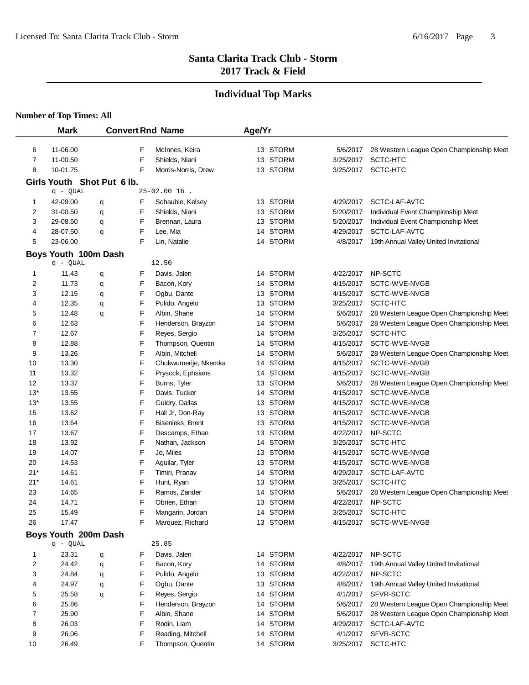# **Individual Top Marks**

|                | <b>Mark</b>                | <b>Convert Rnd Name</b> |        |                                        | Age/Yr |                      |                       |                                          |
|----------------|----------------------------|-------------------------|--------|----------------------------------------|--------|----------------------|-----------------------|------------------------------------------|
| 6              | 11-06.00                   |                         | F      | McInnes, Keira                         |        | 13 STORM             | 5/6/2017              | 28 Western League Open Championship Meet |
| $\overline{7}$ | 11-00.50                   |                         | F      | Shields, Niani                         |        | 13 STORM             | 3/25/2017             | SCTC-HTC                                 |
| 8              | 10-01.75                   |                         | F      | Morris-Norris, Drew                    |        | 13 STORM             | 3/25/2017             | SCTC-HTC                                 |
|                | Girls Youth Shot Put 6 lb. |                         |        |                                        |        |                      |                       |                                          |
|                | q - QUAL                   |                         |        | $25 - 02.00$ 16.                       |        |                      |                       |                                          |
| 1              | 42-09.00                   | q                       | F      | Schauble, Kelsey                       |        | 13 STORM             | 4/29/2017             | SCTC-LAF-AVTC                            |
| 2              | 31-00.50                   | q                       | F      | Shields, Niani                         |        | 13 STORM             | 5/20/2017             | Individual Event Championship Meet       |
| 3              | 29-08.50                   | q                       | F      | Brennan, Laura                         |        | 13 STORM             | 5/20/2017             | Individual Event Championship Meet       |
| 4              | 28-07.50                   | q                       | F      | Lee, Mia                               |        | 14 STORM             | 4/29/2017             | SCTC-LAF-AVTC                            |
| 5              | 23-06.00                   |                         | F      | Lin, Natalie                           |        | 14 STORM             | 4/8/2017              | 19th Annual Valley United Invitational   |
|                | Boys Youth 100m Dash       |                         |        |                                        |        |                      |                       |                                          |
|                | q - QUAL                   |                         |        | 12.50                                  |        |                      |                       |                                          |
| 1              | 11.43                      | q                       | F      | Davis, Jalen                           |        | 14 STORM             | 4/22/2017             | NP-SCTC                                  |
| 2              | 11.73                      | q                       | F      | Bacon, Kory                            |        | 14 STORM             | 4/15/2017             | SCTC-WVE-NVGB                            |
| 3              | 12.15                      | q                       | F      | Ogbu, Dante                            |        | 13 STORM             | 4/15/2017             | SCTC-WVE-NVGB                            |
| 4              | 12.35                      | q                       | F      | Pulido, Angelo                         |        | 13 STORM             | 3/25/2017             | SCTC-HTC                                 |
| 5              | 12.48                      | q                       | F      | Albin, Shane                           |        | 14 STORM             | 5/6/2017              | 28 Western League Open Championship Meet |
| 6              | 12.63                      |                         | F      | Henderson, Brayzon                     |        | 14 STORM             | 5/6/2017              | 28 Western League Open Championship Meet |
| 7              | 12.67                      |                         | F      | Reyes, Sergio                          |        | 14 STORM             | 3/25/2017             | SCTC-HTC                                 |
| 8              | 12.88                      |                         | F      | Thompson, Quentin                      |        | 14 STORM             | 4/15/2017             | SCTC-WVE-NVGB                            |
| 9              | 13.26                      |                         | F      | Albin, Mitchell                        |        | 14 STORM             | 5/6/2017              | 28 Western League Open Championship Meet |
| 10             | 13.30                      |                         | F      | Chukwumerije, Nkemka                   |        | 14 STORM             | 4/15/2017             | SCTC-WVE-NVGB                            |
| 11             | 13.32                      |                         | F      | Prysock, Ephsians                      |        | 14 STORM             | 4/15/2017             | SCTC-WVE-NVGB                            |
| 12             | 13.37                      |                         | F      | Burns, Tyler                           |        | 13 STORM             | 5/6/2017              | 28 Western League Open Championship Meet |
| $13*$          | 13.55                      |                         | F      | Davis, Tucker                          |        | 14 STORM             | 4/15/2017             | SCTC-WVE-NVGB                            |
| $13*$          | 13.55                      |                         | F      | Guidry, Dallas                         |        | 13 STORM             | 4/15/2017             | SCTC-WVE-NVGB                            |
| 15             | 13.62                      |                         | F      | Hall Jr, Don-Ray                       |        | 13 STORM             | 4/15/2017             | SCTC-WVE-NVGB                            |
| 16             | 13.64                      |                         | F      | Bisenieks, Brent                       |        | 13 STORM             | 4/15/2017             | SCTC-WVE-NVGB                            |
| 17             | 13.67                      |                         | F      | Descamps, Ethan                        |        | 13 STORM             | 4/22/2017             | NP-SCTC                                  |
| 18             | 13.92                      |                         | F      | Nathan, Jackson                        |        | 14 STORM             | 3/25/2017             | SCTC-HTC                                 |
| 19             | 14.07                      |                         | F      | Jo, Miles                              |        | 13 STORM             | 4/15/2017             | SCTC-WVE-NVGB                            |
| 20             | 14.53                      |                         | F      | Aguilar, Tyler                         |        | 13 STORM             | 4/15/2017             | SCTC-WVE-NVGB                            |
| $21*$          | 14.61                      |                         | F      | Timiri, Pranav                         |        | 14 STORM             | 4/29/2017             | SCTC-LAF-AVTC                            |
| $21*$          | 14.61                      |                         | F      | Hunt, Ryan                             |        | 13 STORM             | 3/25/2017             | SCTC-HTC                                 |
| 23             | 14.65                      |                         | F      | Ramos, Zander                          |        | 14 STORM             | 5/6/2017              | 28 Western League Open Championship Meet |
| 24             | 14.71                      |                         | F      | Obrien, Ethan                          |        | 13 STORM             | 4/22/2017             | NP-SCTC                                  |
| 25             | 15.49                      |                         | F      | Mangarin, Jordan                       |        | 14 STORM             |                       | 3/25/2017 SCTC-HTC                       |
| 26             | 17.47                      |                         | F      | Marquez, Richard                       |        | 13 STORM             |                       | 4/15/2017 SCTC-WVE-NVGB                  |
|                | Boys Youth 200m Dash       |                         |        |                                        |        |                      |                       |                                          |
|                | q - QUAL                   |                         |        | 25.85                                  |        |                      |                       |                                          |
| 1              | 23.31                      | q                       | F      | Davis, Jalen                           |        | 14 STORM             | 4/22/2017             | NP-SCTC                                  |
| 2              | 24.42                      | q                       | F      | Bacon, Kory                            |        | 14 STORM             | 4/8/2017              | 19th Annual Valley United Invitational   |
| 3              | 24.84                      | q                       | F      | Pulido, Angelo                         |        | 13 STORM             | 4/22/2017             | NP-SCTC                                  |
| 4              | 24.97                      | q                       | F      | Ogbu, Dante                            |        | 13 STORM             | 4/8/2017              | 19th Annual Valley United Invitational   |
| 5              | 25.58                      | q                       | F      | Reyes, Sergio                          |        | 14 STORM             | 4/1/2017              | SFVR-SCTC                                |
| 6              | 25.86                      |                         | F      | Henderson, Brayzon                     |        | 14 STORM             | 5/6/2017              | 28 Western League Open Championship Meet |
| 7              | 25.90                      |                         | F      | Albin, Shane                           |        | 14 STORM             | 5/6/2017              | 28 Western League Open Championship Meet |
| 8              | 26.03                      |                         | F<br>F | Rodin, Liam                            |        | 14 STORM             | 4/29/2017<br>4/1/2017 | SCTC-LAF-AVTC<br>SFVR-SCTC               |
| 9<br>10        | 26.06<br>26.49             |                         | F      | Reading, Mitchell<br>Thompson, Quentin |        | 14 STORM<br>14 STORM | 3/25/2017             | SCTC-HTC                                 |
|                |                            |                         |        |                                        |        |                      |                       |                                          |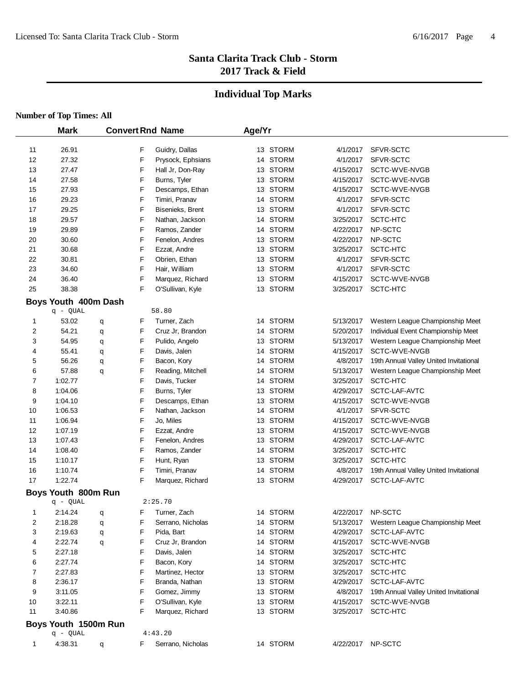#### **Individual Top Marks**

| <b>Number of Top Times: All</b> |  |  |  |  |
|---------------------------------|--|--|--|--|
|---------------------------------|--|--|--|--|

|    | <b>Mark</b>          |   |   | <b>Convert Rnd Name</b> | Age/Yr |          |           |                                        |
|----|----------------------|---|---|-------------------------|--------|----------|-----------|----------------------------------------|
|    |                      |   |   |                         |        |          |           |                                        |
| 11 | 26.91                |   | F | Guidry, Dallas          |        | 13 STORM | 4/1/2017  | SFVR-SCTC                              |
| 12 | 27.32                |   | F | Prysock, Ephsians       |        | 14 STORM | 4/1/2017  | SFVR-SCTC                              |
| 13 | 27.47                |   | F | Hall Jr, Don-Ray        |        | 13 STORM | 4/15/2017 | SCTC-WVE-NVGB                          |
| 14 | 27.58                |   | F | Burns, Tyler            |        | 13 STORM | 4/15/2017 | SCTC-WVE-NVGB                          |
| 15 | 27.93                |   | F | Descamps, Ethan         |        | 13 STORM | 4/15/2017 | SCTC-WVE-NVGB                          |
| 16 | 29.23                |   | F | Timiri, Pranav          |        | 14 STORM | 4/1/2017  | SFVR-SCTC                              |
| 17 | 29.25                |   | F | Bisenieks, Brent        |        | 13 STORM | 4/1/2017  | SFVR-SCTC                              |
| 18 | 29.57                |   | F | Nathan, Jackson         |        | 14 STORM | 3/25/2017 | SCTC-HTC                               |
| 19 | 29.89                |   | F | Ramos, Zander           |        | 14 STORM | 4/22/2017 | NP-SCTC                                |
| 20 | 30.60                |   | F | Fenelon, Andres         |        | 13 STORM | 4/22/2017 | NP-SCTC                                |
| 21 | 30.68                |   | F | Ezzat, Andre            |        | 13 STORM | 3/25/2017 | SCTC-HTC                               |
| 22 | 30.81                |   | F | Obrien, Ethan           |        | 13 STORM | 4/1/2017  | SFVR-SCTC                              |
| 23 | 34.60                |   | F | Hair, William           |        | 13 STORM | 4/1/2017  | SFVR-SCTC                              |
| 24 | 36.40                |   | F | Marquez, Richard        |        | 13 STORM | 4/15/2017 | SCTC-WVE-NVGB                          |
| 25 | 38.38                |   | F | O'Sullivan, Kyle        |        | 13 STORM | 3/25/2017 | SCTC-HTC                               |
|    | Boys Youth 400m Dash |   |   |                         |        |          |           |                                        |
|    | q - QUAL             |   |   | 58.80                   |        |          |           |                                        |
| 1  | 53.02                | q | F | Turner, Zach            |        | 14 STORM | 5/13/2017 | Western League Championship Meet       |
| 2  | 54.21                | q | F | Cruz Jr, Brandon        |        | 14 STORM | 5/20/2017 | Individual Event Championship Meet     |
| 3  | 54.95                | q | F | Pulido, Angelo          |        | 13 STORM | 5/13/2017 | Western League Championship Meet       |
| 4  | 55.41                | q | F | Davis, Jalen            |        | 14 STORM | 4/15/2017 | SCTC-WVE-NVGB                          |
| 5  | 56.26                | q | F | Bacon, Kory             |        | 14 STORM | 4/8/2017  | 19th Annual Valley United Invitational |
| 6  | 57.88                | q | F | Reading, Mitchell       |        | 14 STORM | 5/13/2017 | Western League Championship Meet       |
| 7  | 1:02.77              |   | F | Davis, Tucker           |        | 14 STORM | 3/25/2017 | SCTC-HTC                               |
| 8  | 1:04.06              |   | F | Burns, Tyler            |        | 13 STORM | 4/29/2017 | SCTC-LAF-AVTC                          |
| 9  | 1:04.10              |   | F | Descamps, Ethan         |        | 13 STORM | 4/15/2017 | SCTC-WVE-NVGB                          |
| 10 | 1:06.53              |   | F | Nathan, Jackson         |        | 14 STORM | 4/1/2017  | SFVR-SCTC                              |
| 11 | 1:06.94              |   | F | Jo, Miles               |        | 13 STORM | 4/15/2017 | SCTC-WVE-NVGB                          |
| 12 | 1:07.19              |   | F | Ezzat, Andre            |        | 13 STORM | 4/15/2017 | SCTC-WVE-NVGB                          |
| 13 | 1:07.43              |   | F | Fenelon, Andres         |        | 13 STORM | 4/29/2017 | SCTC-LAF-AVTC                          |
| 14 | 1:08.40              |   | F | Ramos, Zander           |        | 14 STORM | 3/25/2017 | SCTC-HTC                               |
| 15 | 1:10.17              |   | F | Hunt, Ryan              |        | 13 STORM | 3/25/2017 | SCTC-HTC                               |
| 16 | 1:10.74              |   | F | Timiri, Pranav          |        | 14 STORM | 4/8/2017  | 19th Annual Valley United Invitational |
| 17 | 1:22.74              |   | F | Marquez, Richard        |        | 13 STORM | 4/29/2017 | SCTC-LAF-AVTC                          |
|    | Boys Youth 800m Run  |   |   |                         |        |          |           |                                        |
|    | q - QUAL             |   |   | 2:25.70                 |        |          |           |                                        |
| 1  | 2:14.24              | q | F | Turner, Zach            |        | 14 STORM | 4/22/2017 | NP-SCTC                                |
| 2  | 2:18.28              | q | F | Serrano, Nicholas       |        | 14 STORM | 5/13/2017 | Western League Championship Meet       |
| 3  | 2:19.63              | q | F | Pida, Bart              |        | 14 STORM | 4/29/2017 | SCTC-LAF-AVTC                          |
| 4  | 2:22.74              | q | F | Cruz Jr, Brandon        |        | 14 STORM | 4/15/2017 | SCTC-WVE-NVGB                          |
| 5  | 2:27.18              |   | F | Davis, Jalen            |        | 14 STORM | 3/25/2017 | SCTC-HTC                               |
| 6  | 2:27.74              |   | F | Bacon, Kory             |        | 14 STORM | 3/25/2017 | SCTC-HTC                               |
| 7  | 2:27.83              |   | F | Martinez, Hector        |        | 13 STORM | 3/25/2017 | SCTC-HTC                               |
| 8  | 2:36.17              |   | F | Branda, Nathan          |        | 13 STORM | 4/29/2017 | SCTC-LAF-AVTC                          |
| 9  | 3:11.05              |   | F | Gomez, Jimmy            |        | 13 STORM | 4/8/2017  | 19th Annual Valley United Invitational |
| 10 | 3:22.11              |   | F | O'Sullivan, Kyle        |        | 13 STORM | 4/15/2017 | SCTC-WVE-NVGB                          |
| 11 | 3:40.86              |   | F | Marquez, Richard        |        | 13 STORM | 3/25/2017 | SCTC-HTC                               |
|    | Boys Youth 1500m Run |   |   |                         |        |          |           |                                        |
|    | q - QUAL             |   |   | 4:43.20                 |        |          |           |                                        |
| 1  | 4:38.31              | q | F | Serrano, Nicholas       |        | 14 STORM | 4/22/2017 | NP-SCTC                                |
|    |                      |   |   |                         |        |          |           |                                        |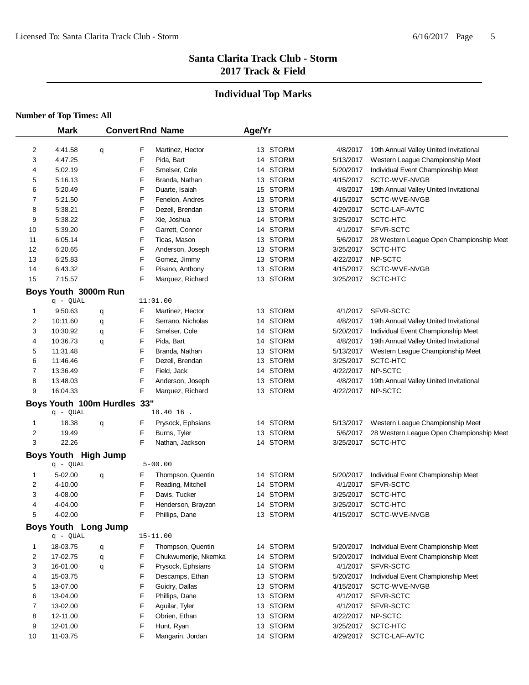# **Individual Top Marks**

|                | <b>Mark</b>                             |   |   | <b>Convert Rnd Name</b> | Age/Yr |          |           |                                          |
|----------------|-----------------------------------------|---|---|-------------------------|--------|----------|-----------|------------------------------------------|
| 2              | 4:41.58                                 |   | F | Martinez, Hector        |        | 13 STORM | 4/8/2017  | 19th Annual Valley United Invitational   |
| 3              | 4:47.25                                 | q | F | Pida, Bart              |        | 14 STORM | 5/13/2017 | Western League Championship Meet         |
| 4              | 5:02.19                                 |   | F | Smelser, Cole           |        | 14 STORM | 5/20/2017 | Individual Event Championship Meet       |
| 5              | 5:16.13                                 |   | F | Branda, Nathan          |        | 13 STORM | 4/15/2017 | SCTC-WVE-NVGB                            |
| 6              | 5:20.49                                 |   | F | Duarte, Isaiah          |        | 15 STORM | 4/8/2017  | 19th Annual Valley United Invitational   |
| 7              | 5:21.50                                 |   | F | Fenelon, Andres         |        | 13 STORM | 4/15/2017 | SCTC-WVE-NVGB                            |
| 8              | 5:38.21                                 |   | F | Dezell, Brendan         |        | 13 STORM | 4/29/2017 | SCTC-LAF-AVTC                            |
| 9              | 5:38.22                                 |   | F | Xie, Joshua             |        | 14 STORM | 3/25/2017 | SCTC-HTC                                 |
| 10             | 5:39.20                                 |   | F | Garrett, Connor         |        | 14 STORM | 4/1/2017  | SFVR-SCTC                                |
| 11             | 6:05.14                                 |   | F | Ticas, Mason            |        | 13 STORM | 5/6/2017  | 28 Western League Open Championship Meet |
| 12             | 6:20.65                                 |   | F | Anderson, Joseph        |        | 13 STORM | 3/25/2017 | SCTC-HTC                                 |
| 13             | 6:25.83                                 |   | F | Gomez, Jimmy            |        | 13 STORM | 4/22/2017 | NP-SCTC                                  |
| 14             | 6:43.32                                 |   | F | Pisano, Anthony         |        | 13 STORM | 4/15/2017 | SCTC-WVE-NVGB                            |
| 15             | 7:15.57                                 |   | F | Marquez, Richard        |        | 13 STORM | 3/25/2017 | SCTC-HTC                                 |
|                |                                         |   |   |                         |        |          |           |                                          |
|                | Boys Youth 3000m Run<br>q - QUAL        |   |   | 11:01.00                |        |          |           |                                          |
| 1              | 9:50.63                                 | q | F | Martinez, Hector        |        | 13 STORM | 4/1/2017  | SFVR-SCTC                                |
| 2              | 10:11.60                                | q | F | Serrano, Nicholas       |        | 14 STORM | 4/8/2017  | 19th Annual Valley United Invitational   |
| 3              | 10:30.92                                | q | F | Smelser, Cole           |        | 14 STORM | 5/20/2017 | Individual Event Championship Meet       |
| 4              | 10:36.73                                | q | F | Pida, Bart              |        | 14 STORM | 4/8/2017  | 19th Annual Valley United Invitational   |
| 5              | 11:31.48                                |   | F | Branda, Nathan          |        | 13 STORM | 5/13/2017 | Western League Championship Meet         |
| 6              | 11:46.46                                |   | F | Dezell, Brendan         |        | 13 STORM | 3/25/2017 | SCTC-HTC                                 |
| 7              | 13:36.49                                |   | F | Field, Jack             |        | 14 STORM | 4/22/2017 | NP-SCTC                                  |
| 8              | 13:48.03                                |   | F | Anderson, Joseph        |        | 13 STORM | 4/8/2017  | 19th Annual Valley United Invitational   |
| 9              | 16:04.33                                |   | F | Marquez, Richard        |        | 13 STORM | 4/22/2017 | NP-SCTC                                  |
|                | Boys Youth 100m Hurdles 33"             |   |   |                         |        |          |           |                                          |
|                | q - QUAL                                |   |   | 18.40 16 .              |        |          |           |                                          |
| 1              | 18.38                                   | q | F | Prysock, Ephsians       |        | 14 STORM | 5/13/2017 | Western League Championship Meet         |
| 2              | 19.49                                   |   | F | Burns, Tyler            |        | 13 STORM | 5/6/2017  | 28 Western League Open Championship Meet |
| 3              | 22.26                                   |   | F | Nathan, Jackson         |        | 14 STORM | 3/25/2017 | SCTC-HTC                                 |
|                |                                         |   |   |                         |        |          |           |                                          |
|                | <b>Boys Youth High Jump</b><br>q - QUAL |   |   | $5 - 00.00$             |        |          |           |                                          |
| 1              | 5-02.00                                 | q | F | Thompson, Quentin       |        | 14 STORM | 5/20/2017 | Individual Event Championship Meet       |
| 2              | 4-10.00                                 |   | F | Reading, Mitchell       |        | 14 STORM | 4/1/2017  | SFVR-SCTC                                |
| 3              | 4-08.00                                 |   | F | Davis, Tucker           |        | 14 STORM | 3/25/2017 | SCTC-HTC                                 |
| 4              | 4-04.00                                 |   | F | Henderson, Brayzon      |        | 14 STORM | 3/25/2017 | SCTC-HTC                                 |
| 5              | 4-02.00                                 |   | F | Phillips, Dane          |        | 13 STORM |           | 4/15/2017 SCTC-WVE-NVGB                  |
|                | Boys Youth Long Jump                    |   |   |                         |        |          |           |                                          |
|                | $q - QUAL$                              |   |   | $15 - 11.00$            |        |          |           |                                          |
| 1              | 18-03.75                                | q | F | Thompson, Quentin       |        | 14 STORM | 5/20/2017 | Individual Event Championship Meet       |
| 2              | 17-02.75                                | q | F | Chukwumerije, Nkemka    |        | 14 STORM | 5/20/2017 | Individual Event Championship Meet       |
| 3              | 16-01.00                                | q | F | Prysock, Ephsians       |        | 14 STORM | 4/1/2017  | SFVR-SCTC                                |
| 4              | 15-03.75                                |   | F | Descamps, Ethan         |        | 13 STORM | 5/20/2017 | Individual Event Championship Meet       |
| 5              | 13-07.00                                |   | F | Guidry, Dallas          |        | 13 STORM | 4/15/2017 | SCTC-WVE-NVGB                            |
| 6              | 13-04.00                                |   | F | Phillips, Dane          |        | 13 STORM | 4/1/2017  | SFVR-SCTC                                |
| $\overline{7}$ | 13-02.00                                |   | F | Aguilar, Tyler          |        | 13 STORM | 4/1/2017  | SFVR-SCTC                                |
| 8              | 12-11.00                                |   | F | Obrien, Ethan           |        | 13 STORM | 4/22/2017 | NP-SCTC                                  |
| 9              | 12-01.00                                |   | F | Hunt, Ryan              |        | 13 STORM | 3/25/2017 | SCTC-HTC                                 |
| 10             | 11-03.75                                |   | F | Mangarin, Jordan        |        | 14 STORM | 4/29/2017 | SCTC-LAF-AVTC                            |